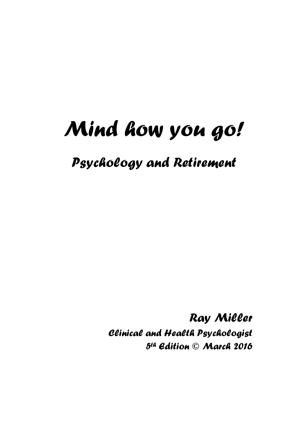*Psychology and Retirement*

*Ray Miller Clinical and Health Psychologist 5 th Edition* **©** *March 2016*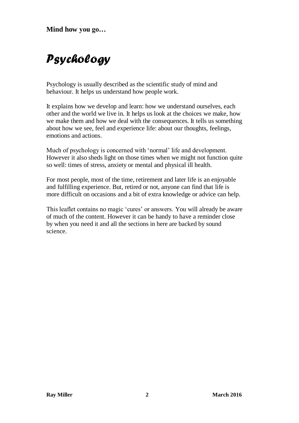# *Psychology*

Psychology is usually described as the scientific study of mind and behaviour. It helps us understand how people work.

It explains how we develop and learn: how we understand ourselves, each other and the world we live in. It helps us look at the choices we make, how we make them and how we deal with the consequences. It tells us something about how we see, feel and experience life: about our thoughts, feelings, emotions and actions.

Much of psychology is concerned with 'normal' life and development. However it also sheds light on those times when we might not function quite so well: times of stress, anxiety or mental and physical ill health.

For most people, most of the time, retirement and later life is an enjoyable and fulfilling experience. But, retired or not, anyone can find that life is more difficult on occasions and a bit of extra knowledge or advice can help.

This leaflet contains no magic 'cures' or answers. You will already be aware of much of the content. However it can be handy to have a reminder close by when you need it and all the sections in here are backed by sound science.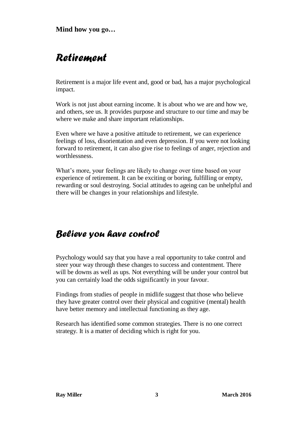## *Retirement*

Retirement is a major life event and, good or bad, has a major psychological impact.

Work is not just about earning income. It is about who we are and how we, and others, see us. It provides purpose and structure to our time and may be where we make and share important relationships.

Even where we have a positive attitude to retirement, we can experience feelings of loss, disorientation and even depression. If you were not looking forward to retirement, it can also give rise to feelings of anger, rejection and worthlessness.

What's more, your feelings are likely to change over time based on your experience of retirement. It can be exciting or boring, fulfilling or empty, rewarding or soul destroying. Social attitudes to ageing can be unhelpful and there will be changes in your relationships and lifestyle.

## *Believe you have control*

Psychology would say that you have a real opportunity to take control and steer your way through these changes to success and contentment. There will be downs as well as ups. Not everything will be under your control but you can certainly load the odds significantly in your favour.

Findings from studies of people in midlife suggest that those who believe they have greater control over their physical and cognitive (mental) health have better memory and intellectual functioning as they age.

Research has identified some common strategies. There is no one correct strategy. It is a matter of deciding which is right for you.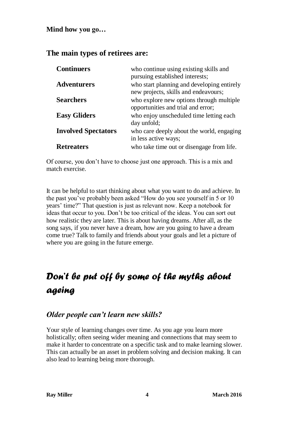## **The main types of retirees are:**

| <b>Continuers</b>          | who continue using existing skills and<br>pursuing established interests;          |
|----------------------------|------------------------------------------------------------------------------------|
| <b>Adventurers</b>         | who start planning and developing entirely<br>new projects, skills and endeavours; |
| <b>Searchers</b>           | who explore new options through multiple<br>opportunities and trial and error;     |
| <b>Easy Gliders</b>        | who enjoy unscheduled time letting each<br>day unfold;                             |
| <b>Involved Spectators</b> | who care deeply about the world, engaging<br>in less active ways;                  |
| <b>Retreaters</b>          | who take time out or disengage from life.                                          |

Of course, you don't have to choose just one approach. This is a mix and match exercise.

It can be helpful to start thinking about what you want to do and achieve. In the past you've probably been asked "How do you see yourself in 5 or 10 years' time?" That question is just as relevant now. Keep a notebook for ideas that occur to you. Don't be too critical of the ideas. You can sort out how realistic they are later. This is about having dreams. After all, as the song says, if you never have a dream, how are you going to have a dream come true? Talk to family and friends about your goals and let a picture of where you are going in the future emerge.

## *Don't be put off by some of the myths about ageing*

## *Older people can't learn new skills?*

Your style of learning changes over time. As you age you learn more holistically; often seeing wider meaning and connections that may seem to make it harder to concentrate on a specific task and to make learning slower. This can actually be an asset in problem solving and decision making. It can also lead to learning being more thorough.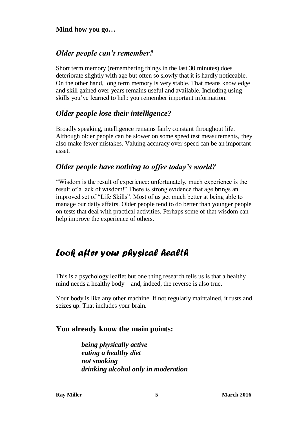## *Older people can't remember?*

Short term memory (remembering things in the last 30 minutes) does deteriorate slightly with age but often so slowly that it is hardly noticeable. On the other hand, long term memory is very stable. That means knowledge and skill gained over years remains useful and available. Including using skills you've learned to help you remember important information.

## *Older people lose their intelligence?*

Broadly speaking, intelligence remains fairly constant throughout life. Although older people can be slower on some speed test measurements, they also make fewer mistakes. Valuing accuracy over speed can be an important asset.

## *Older people have nothing to offer today's world?*

"Wisdom is the result of experience: unfortunately, much experience is the result of a lack of wisdom!" There is strong evidence that age brings an improved set of "Life Skills". Most of us get much better at being able to manage our daily affairs. Older people tend to do better than younger people on tests that deal with practical activities. Perhaps some of that wisdom can help improve the experience of others.

## *Look after your physical health*

This is a psychology leaflet but one thing research tells us is that a healthy mind needs a healthy body – and, indeed, the reverse is also true.

Your body is like any other machine. If not regularly maintained, it rusts and seizes up. That includes your brain.

## **You already know the main points:**

*being physically active eating a healthy diet not smoking drinking alcohol only in moderation*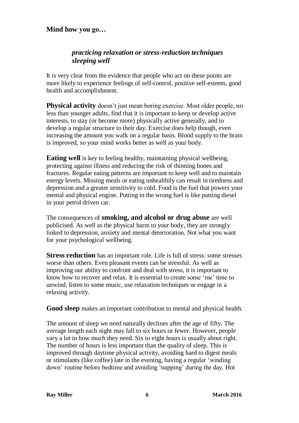### *practicing relaxation or stress-reduction techniques sleeping well*

It is very clear from the evidence that people who act on these points are more likely to experience feelings of self-control, positive self-esteem, good health and accomplishment.

**Physical activity** doesn't just mean boring exercise. Most older people, no less than younger adults, find that it is important to keep or develop active interests, to stay (or become more) physically active generally, and to develop a regular structure to their day. Exercise does help though, even increasing the amount you walk on a regular basis. Blood supply to the brain is improved, so your mind works better as well as your body.

**Eating well** is key to feeling healthy, maintaining physical wellbeing, protecting against illness and reducing the risk of thinning bones and fractures. Regular eating patterns are important to keep well and to maintain energy levels. Missing meals or eating unhealthily can result in tiredness and depression and a greater sensitivity to cold. Food is the fuel that powers your mental and physical engine. Putting in the wrong fuel is like putting diesel in your petrol driven car.

The consequences of **smoking, and alcohol or drug abuse** are well publicised. As well as the physical harm to your body, they are strongly linked to depression, anxiety and mental deterioration. Not what you want for your psychological wellbeing.

**Stress reduction** has an important role. Life is full of stress: some stresses worse than others. Even pleasant events can be stressful. As well as improving our ability to confront and deal with stress, it is important to know how to recover and relax. It is essential to create some 'me' time to unwind, listen to some music, use relaxation techniques or engage in a relaxing activity.

**Good sleep** makes an important contribution to mental and physical health.

The amount of sleep we need naturally declines after the age of fifty. The average length each night may fall to six hours or fewer. However, people vary a lot in how much they need. Six to eight hours is usually about right. The number of hours is less important than the quality of sleep. This is improved through daytime physical activity, avoiding hard to digest meals or stimulants (like coffee) late in the evening, having a regular 'winding down' routine before bedtime and avoiding 'napping' during the day. Hot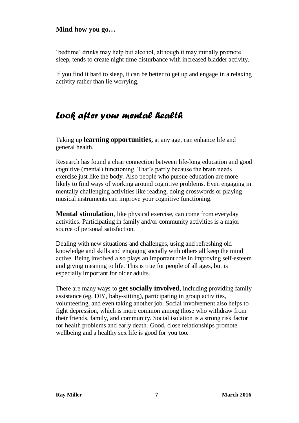'bedtime' drinks may help but alcohol, although it may initially promote sleep, tends to create night time disturbance with increased bladder activity.

If you find it hard to sleep, it can be better to get up and engage in a relaxing activity rather than lie worrying.

## *Look after your mental health*

Taking up **learning opportunities,** at any age, can enhance life and general health.

Research has found a clear connection between life-long education and good cognitive (mental) functioning. That's partly because the brain needs exercise just like the body. Also people who pursue education are more likely to find ways of working around cognitive problems. Even engaging in mentally challenging activities like reading, doing crosswords or playing musical instruments can improve your cognitive functioning.

**Mental stimulation**, like physical exercise, can come from everyday activities. Participating in family and/or community activities is a major source of personal satisfaction.

Dealing with new situations and challenges, using and refreshing old knowledge and skills and engaging socially with others all keep the mind active. Being involved also plays an important role in improving self-esteem and giving meaning to life. This is true for people of all ages, but is especially important for older adults.

There are many ways to **get socially involved**, including providing family assistance (eg, DIY, baby-sitting), participating in group activities, volunteering, and even taking another job. Social involvement also helps to fight depression, which is more common among those who withdraw from their friends, family, and community. Social isolation is a strong risk factor for health problems and early death. Good, close relationships promote wellbeing and a healthy sex life is good for you too.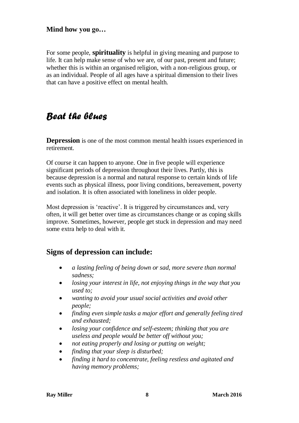For some people, **spirituality** is helpful in giving meaning and purpose to life. It can help make sense of who we are, of our past, present and future; whether this is within an organised religion, with a non-religious group, or as an individual. People of all ages have a spiritual dimension to their lives that can have a positive effect on mental health.

## *Beat the blues*

**Depression** is one of the most common mental health issues experienced in retirement.

Of course it can happen to anyone. One in five people will experience significant periods of depression throughout their lives. Partly, this is because depression is a normal and natural response to certain kinds of life events such as physical illness, poor living conditions, bereavement, poverty and isolation. It is often associated with loneliness in older people.

Most depression is 'reactive'. It is triggered by circumstances and, very often, it will get better over time as circumstances change or as coping skills improve. Sometimes, however, people get stuck in depression and may need some extra help to deal with it.

## **Signs of depression can include:**

- *a lasting feeling of being down or sad, more severe than normal sadness;*
- *losing your interest in life, not enjoying things in the way that you used to;*
- *wanting to avoid your usual social activities and avoid other people;*
- *finding even simple tasks a major effort and generally feeling tired and exhausted;*
- *losing your confidence and self-esteem; thinking that you are useless and people would be better off without you;*
- *not eating properly and losing or putting on weight;*
- *finding that your sleep is disturbed;*
- *finding it hard to concentrate, feeling restless and agitated and having memory problems;*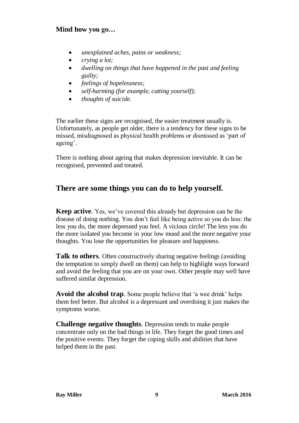- *unexplained aches, pains or weakness;*
- *crying a lot;*
- *dwelling on things that have happened in the past and feeling guilty;*
- *feelings of hopelessness;*
- *self-harming (for example, cutting yourself);*
- *thoughts of suicide.*

The earlier these signs are recognised, the easier treatment usually is. Unfortunately, as people get older, there is a tendency for these signs to be missed, misdiagnosed as physical health problems or dismissed as 'part of ageing'.

There is nothing about ageing that makes depression inevitable. It can be recognised, prevented and treated.

### **There are some things you can do to help yourself.**

**Keep active**. Yes, we've covered this already but depression can be the disease of doing nothing. You don't feel like being active so you do less: the less you do, the more depressed you feel. A vicious circle! The less you do the more isolated you become in your low mood and the more negative your thoughts. You lose the opportunities for pleasure and happiness.

**Talk to others.** Often constructively sharing negative feelings (avoiding the temptation to simply dwell on them) can help to highlight ways forward and avoid the feeling that you are on your own. Other people may well have suffered similar depression.

**Avoid the alcohol trap**. Some people believe that 'a wee drink' helps them feel better. But alcohol is a depressant and overdoing it just makes the symptoms worse.

**Challenge negative thoughts**. Depression tends to make people concentrate only on the bad things in life. They forget the good times and the positive events. They forget the coping skills and abilities that have helped them in the past.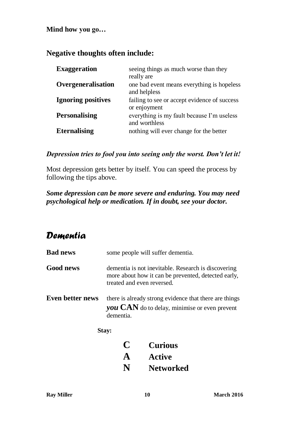## **Negative thoughts often include:**

| <b>Exaggeration</b>       | seeing things as much worse than they<br>really are          |  |
|---------------------------|--------------------------------------------------------------|--|
| Overgeneralisation        | one bad event means everything is hopeless<br>and helpless   |  |
| <b>Ignoring positives</b> | failing to see or accept evidence of success<br>or enjoyment |  |
| <b>Personalising</b>      | everything is my fault because I'm useless<br>and worthless  |  |
| <b>Eternalising</b>       | nothing will ever change for the better                      |  |

### *Depression tries to fool you into seeing only the worst. Don't let it!*

Most depression gets better by itself. You can speed the process by following the tips above.

## *Some depression can be more severe and enduring. You may need psychological help or medication. If in doubt, see your doctor.*

## *Dementia*

| <b>Bad news</b>  | some people will suffer dementia.                                                                                                        |                  |  |
|------------------|------------------------------------------------------------------------------------------------------------------------------------------|------------------|--|
| <b>Good news</b> | dementia is not inevitable. Research is discovering<br>more about how it can be prevented, detected early,<br>treated and even reversed. |                  |  |
| Even better news | there is already strong evidence that there are things<br>you CAN do to delay, minimise or even prevent<br>dementia.                     |                  |  |
|                  | Stay:                                                                                                                                    |                  |  |
|                  | C                                                                                                                                        | <b>Curious</b>   |  |
|                  | A                                                                                                                                        | <b>Active</b>    |  |
|                  | N                                                                                                                                        | <b>Networked</b> |  |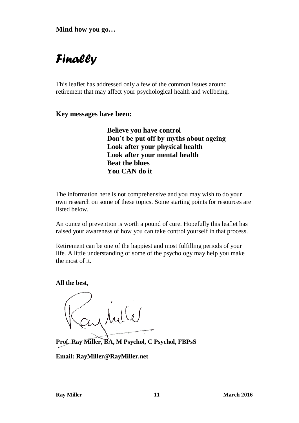# *Finally*

This leaflet has addressed only a few of the common issues around retirement that may affect your psychological health and wellbeing.

**Key messages have been:**

**Believe you have control Don't be put off by myths about ageing Look after your physical health Look after your mental health Beat the blues You CAN do it**

The information here is not comprehensive and you may wish to do your own research on some of these topics. Some starting points for resources are listed below.

An ounce of prevention is worth a pound of cure. Hopefully this leaflet has raised your awareness of how you can take control yourself in that process.

Retirement can be one of the happiest and most fulfilling periods of your life. A little understanding of some of the psychology may help you make the most of it.

**All the best,**

Caylille

**Prof. Ray Miller, BA, M Psychol, C Psychol, FBPsS**

**Email: RayMiller@RayMiller.net**